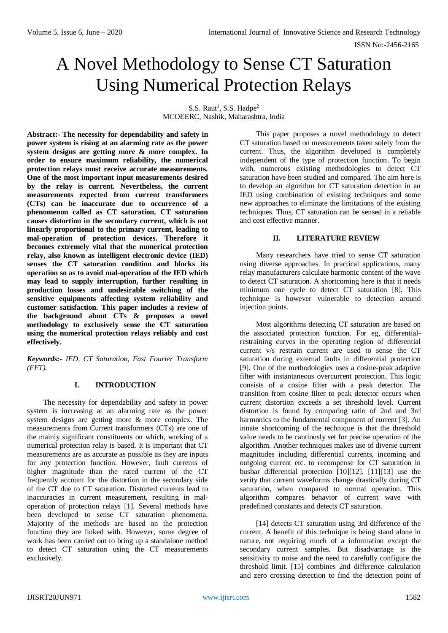# A Novel Methodology to Sense CT Saturation Using Numerical Protection Relays

S.S. Raut<sup>1</sup>, S.S. Hadpe<sup>2</sup> MCOEERC, Nashik, Maharashtra, India

**Abstract:- The necessity for dependability and safety in power system is rising at an alarming rate as the power system designs are getting more & more complex. In order to ensure maximum reliability, the numerical protection relays must receive accurate measurements. One of the most important input measurements desired by the relay is current. Nevertheless, the current measurements expected from current transformers (CTs) can be inaccurate due to occurrence of a phenomenon called as CT saturation. CT saturation causes distortion in the secondary current, which is not linearly proportional to the primary current, leading to mal-operation of protection devices. Therefore it becomes extremely vital that the numerical protection relay, also known as intelligent electronic device (IED) senses the CT saturation condition and blocks its operation so as to avoid mal-operation of the IED which may lead to supply interruption, further resulting in production losses and undesirable switching of the sensitive equipments affecting system reliability and customer satisfaction. This paper includes a review of the background about CTs & proposes a novel methodology to exclusively sense the CT saturation using the numerical protection relays reliably and cost effectively.**

*Keywords:- IED, CT Saturation, Fast Fourier Transform (FFT).*

# **I. INTRODUCTION**

The necessity for dependability and safety in power system is increasing at an alarming rate as the power system designs are getting more & more complex. The measurements from Current transformers (CTs) are one of the mainly significant constituents on which, working of a numerical protection relay is based. It is important that CT measurements are as accurate as possible as they are inputs for any protection function. However, fault currents of higher magnitude than the rated current of the CT frequently account for the distortion in the secondary side of the CT due to CT saturation. Distorted currents lead to inaccuracies in current measurement, resulting in maloperation of protection relays [1]. Several methods have been developed to sense CT saturation phenomena. Majority of the methods are based on the protection function they are linked with. However, some degree of work has been carried out to bring up a standalone method to detect CT saturation using the CT measurements exclusively.

This paper proposes a novel methodology to detect CT saturation based on measurements taken solely from the current. Thus, the algorithm developed is completely independent of the type of protection function. To begin with, numerous existing methodologies to detect CT saturation have been studied and compared. The aim here is to develop an algorithm for CT saturation detection in an IED using combination of existing techniques and some new approaches to eliminate the limitations of the existing techniques. Thus, CT saturation can be sensed in a reliable and cost effective manner.

# **II. LITERATURE REVIEW**

Many researchers have tried to sense CT saturation using diverse approaches. In practical applications, many relay manufacturers calculate harmonic content of the wave to detect CT saturation. A shortcoming here is that it needs minimum one cycle to detect CT saturation [8]. This technique is however vulnerable to detection around injection points.

Most algorithms detecting CT saturation are based on the associated protection function. For eg, differentialrestraining curves in the operating region of differential current v/s restrain current are used to sense the CT saturation during external faults in differential protection [9]. One of the methodologies uses a cosine-peak adaptive filter with instantaneous overcurrent protection. This logic consists of a cosine filter with a peak detector. The transition from cosine filter to peak detector occurs when current distortion exceeds a set threshold level. Current distortion is found by comparing ratio of 2nd and 3rd harmonics to the fundamental component of current [3]. An innate shortcoming of the technique is that the threshold value needs to be cautiously set for precise operation of the algorithm. Another techniques makes use of diverse current magnitudes including differential currents, incoming and outgoing current etc. to recompense for CT saturation in busbar differential protection [10][12]. [11][13] use the verity that current waveforms change drastically during CT saturation, when compared to normal operation. This algorithm compares behavior of current wave with predefined constants and detects CT saturation.

[14] detects CT saturation using 3rd difference of the current. A benefit of this technique is being stand alone in nature, not requiring much of a information except the secondary current samples. But disadvantage is the sensitivity to noise and the need to carefully configure the threshold limit. [15] combines 2nd difference calculation and zero crossing detection to find the detection point of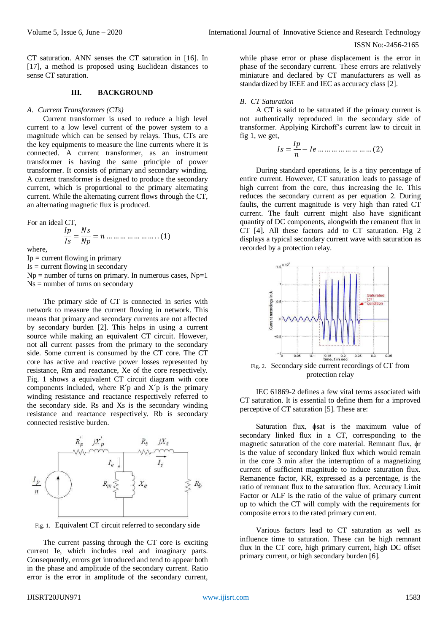CT saturation. ANN senses the CT saturation in [16]. In [17], a method is proposed using Euclidean distances to sense CT saturation.

#### **III. BACKGROUND**

#### *A. Current Transformers (CTs)*

Current transformer is used to reduce a high level current to a low level current of the power system to a magnitude which can be sensed by relays. Thus, CTs are the key equipments to measure the line currents where it is connected. A current transformer, as an instrument transformer is having the same principle of power transformer. It consists of primary and secondary winding. A current transformer is designed to produce the secondary current, which is proportional to the primary alternating current. While the alternating current flows through the CT, an alternating magnetic flux is produced.

For an ideal CT,  $\frac{dp}{ls} = \frac{Ns}{Np} = n \dots \dots \dots \dots \dots \dots \dots (1)$ where,  $Ip = current flowing in primary$  $Is = current flowing in secondary$ 

 $Np =$  number of turns on primary. In numerous cases,  $Np=1$ Ns = number of turns on secondary

The primary side of CT is connected in series with network to measure the current flowing in network. This means that primary and secondary currents are not affected by secondary burden [2]. This helps in using a current source while making an equivalent CT circuit. However, not all current passes from the primary to the secondary side. Some current is consumed by the CT core. The CT core has active and reactive power losses represented by resistance, Rm and reactance, Xe of the core respectively. Fig. 1 shows a equivalent CT circuit diagram with core components included, where  $R'p$  and  $X'p$  is the primary winding resistance and reactance respectively referred to the secondary side. Rs and Xs is the secondary winding resistance and reactance respectively. Rb is secondary connected resistive burden.



Fig. 1. Equivalent CT circuit referred to secondary side

The current passing through the CT core is exciting current Ie, which includes real and imaginary parts. Consequently, errors get introduced and tend to appear both in the phase and amplitude of the secondary current. Ratio error is the error in amplitude of the secondary current,

while phase error or phase displacement is the error in phase of the secondary current. These errors are relatively miniature and declared by CT manufacturers as well as standardized by IEEE and IEC as accuracy class [2].

#### *B. CT Saturation*

A CT is said to be saturated if the primary current is not authentically reproduced in the secondary side of transformer. Applying Kirchoff's current law to circuit in fig 1, we get,

$$
Is = \frac{lp}{n} - le \dots \dots \dots \dots \dots \dots \dots \dots (2)
$$

During standard operations, Ie is a tiny percentage of entire current. However, CT saturation leads to passage of high current from the core, thus increasing the Ie. This reduces the secondary current as per equation 2. During faults, the current magnitude is very high than rated CT current. The fault current might also have significant quantity of DC components, alongwith the remanent flux in CT [4]. All these factors add to CT saturation. Fig 2 displays a typical secondary current wave with saturation as recorded by a protection relay.



IEC 61869-2 defines a few vital terms associated with CT saturation. It is essential to define them for a improved perceptive of CT saturation [5]. These are:

Saturation flux, ϕsat is the maximum value of secondary linked flux in a CT, corresponding to the magnetic saturation of the core material. Remnant flux, ϕr is the value of secondary linked flux which would remain in the core 3 min after the interruption of a magnetizing current of sufficient magnitude to induce saturation flux. Remanence factor, KR, expressed as a percentage, is the ratio of remnant flux to the saturation flux. Accuracy Limit Factor or ALF is the ratio of the value of primary current up to which the CT will comply with the requirements for composite errors to the rated primary current.

Various factors lead to CT saturation as well as influence time to saturation. These can be high remnant flux in the CT core, high primary current, high DC offset primary current, or high secondary burden [6].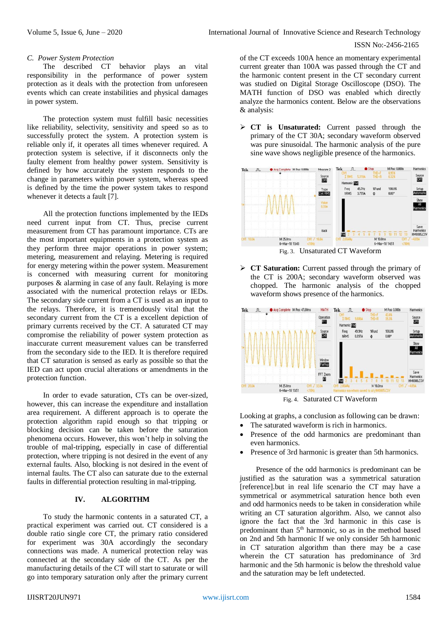### ISSN No:-2456-2165

## *C. Power System Protection*

The described CT behavior plays an vital responsibility in the performance of power system protection as it deals with the protection from unforeseen events which can create instabilities and physical damages in power system.

The protection system must fulfill basic necessities like reliability, selectivity, sensitivity and speed so as to successfully protect the system. A protection system is reliable only if, it operates all times whenever required. A protection system is selective, if it disconnects only the faulty element from healthy power system. Sensitivity is defined by how accurately the system responds to the change in parameters within power system, whereas speed is defined by the time the power system takes to respond whenever it detects a fault [7].

All the protection functions implemented by the IEDs need current input from CT. Thus, precise current measurement from CT has paramount importance. CTs are the most important equipments in a protection system as they perform three major operations in power system; metering, measurement and relaying. Metering is required for energy metering within the power system. Measurement is concerned with measuring current for monitoring purposes & alarming in case of any fault. Relaying is more associated with the numerical protection relays or IEDs. The secondary side current from a CT is used as an input to the relays. Therefore, it is tremendously vital that the secondary current from the CT is a excellent depiction of primary currents received by the CT. A saturated CT may compromise the reliability of power system protection as inaccurate current measurement values can be transferred from the secondary side to the IED. It is therefore required that CT saturation is sensed as early as possible so that the IED can act upon crucial alterations or amendments in the protection function.

In order to evade saturation, CTs can be over-sized, however, this can increase the expenditure and installation area requirement. A different approach is to operate the protection algorithm rapid enough so that tripping or blocking decision can be taken before the saturation phenomena occurs. However, this won't help in solving the trouble of mal-tripping, especially in case of differential protection, where tripping is not desired in the event of any external faults. Also, blocking is not desired in the event of internal faults. The CT also can saturate due to the external faults in differential protection resulting in mal-tripping.

# **IV. ALGORITHM**

To study the harmonic contents in a saturated CT, a practical experiment was carried out. CT considered is a double ratio single core CT, the primary ratio considered for experiment was 30A accordingly the secondary connections was made. A numerical protection relay was connected at the secondary side of the CT. As per the manufacturing details of the CT will start to saturate or will go into temporary saturation only after the primary current of the CT exceeds 100A hence an momentary experimental current greater than 100A was passed through the CT and the harmonic content present in the CT secondary current was studied on Digital Storage Oscilloscope (DSO). The MATH function of DSO was enabled which directly analyze the harmonics content. Below are the observations & analysis:

 **CT is Unsaturated:** Current passed through the primary of the CT 30A; secondary waveform observed was pure sinusoidal. The harmonic analysis of the pure sine wave shows negligible presence of the harmonics.



Fig. 3. Unsaturated CT Waveform

 **CT Saturation:** Current passed through the primary of the CT is 200A; secondary waveform observed was chopped. The harmonic analysis of the chopped waveform shows presence of the harmonics.



Fig. 4. Saturated CT Waveform

Looking at graphs, a conclusion as following can be drawn:

- The saturated waveform is rich in harmonics.
- Presence of the odd harmonics are predominant than even harmonics.
- Presence of 3rd harmonic is greater than 5th harmonics.

Presence of the odd harmonics is predominant can be justified as the saturation was a symmetrical saturation [reference].but in real life scenario the CT may have a symmetrical or asymmetrical saturation hence both even and odd harmonics needs to be taken in consideration while writing an CT saturation algorithm. Also, we cannot also ignore the fact that the 3rd harmonic in this case is predominant than 5<sup>th</sup> harmonic, so as in the method based on 2nd and 5th harmonic If we only consider 5th harmonic in CT saturation algorithm than there may be a case wherein the CT saturation has predominance of 3rd harmonic and the 5th harmonic is below the threshold value and the saturation may be left undetected.